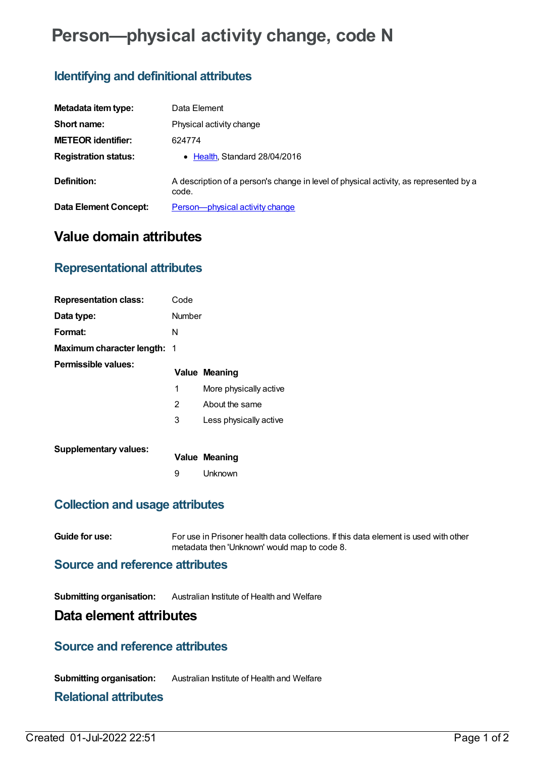# **Person—physical activity change, code N**

## **Identifying and definitional attributes**

| Metadata item type:          | Data Element                                                                                   |
|------------------------------|------------------------------------------------------------------------------------------------|
| Short name:                  | Physical activity change                                                                       |
| <b>METEOR identifier:</b>    | 624774                                                                                         |
| <b>Registration status:</b>  | • Health, Standard 28/04/2016                                                                  |
| Definition:                  | A description of a person's change in level of physical activity, as represented by a<br>code. |
| <b>Data Element Concept:</b> | Person-physical activity change                                                                |

## **Value domain attributes**

## **Representational attributes**

| <b>Representation class:</b>       | Code           |                        |
|------------------------------------|----------------|------------------------|
| Data type:                         | Number         |                        |
| Format:                            | N              |                        |
| <b>Maximum character length: 1</b> |                |                        |
| Permissible values:                |                | <b>Value Meaning</b>   |
|                                    | 1              | More physically active |
|                                    | $\overline{2}$ | About the same         |
|                                    | 3              | Less physically active |
| <b>Supplementary values:</b>       |                | <b>Value Meaning</b>   |
|                                    | 9              | Unknown                |
|                                    |                |                        |

## **Collection and usage attributes**

**Guide for use:** For use in Prisoner health data collections. If this data element is used with other metadata then 'Unknown' would map to code 8.

#### **Source and reference attributes**

**Submitting organisation:** Australian Institute of Health and Welfare

#### **Data element attributes**

#### **Source and reference attributes**

**Submitting organisation:** Australian Institute of Health and Welfare

#### **Relational attributes**